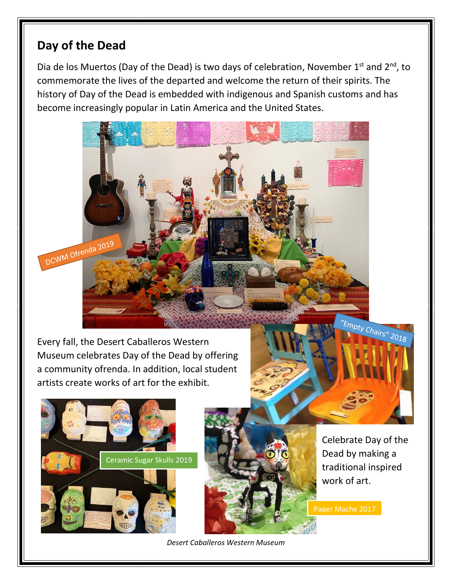## **Day of the Dead**

DCWM Ofrenda 2019

Dia de los Muertos (Day of the Dead) is two days of celebration, November  $1<sup>st</sup>$  and  $2<sup>nd</sup>$ , to commemorate the lives of the departed and welcome the return of their spirits. The history of Day of the Dead is embedded with indigenous and Spanish customs and has become increasingly popular in Latin America and the United States.

Every fall, the Desert Caballeros Western Museum celebrates Day of the Dead by offering a community ofrenda. In addition, local student artists create works of art for the exhibit.





Celebrate Day of the Dead by making a traditional inspired work of art.

Paper Mache 2017

*Desert Caballeros Western Museum*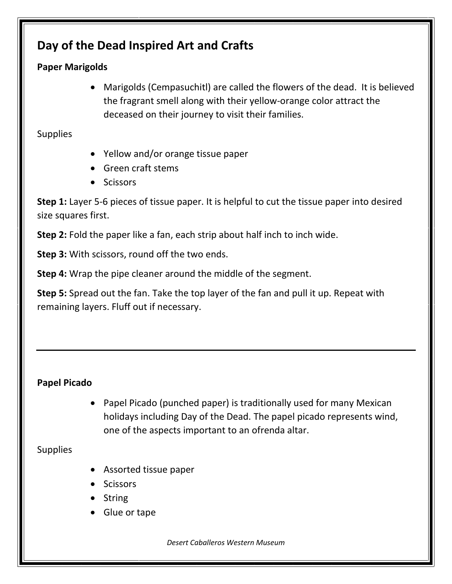# **Day of the Dead Inspired Art and Crafts**

### **Paper Marigolds**

• Marigolds (Cempasuchitl) are called the flowers of the dead. It is believed the fragrant smell along with their yellow-orange color attract the deceased on their journey to visit their families.

**Supplies** 

- Yellow and/or orange tissue paper
- Green craft stems
- Scissors

**Step 1:** Layer 5-6 pieces of tissue paper. It is helpful to cut the tissue paper into desired size squares first.

**Step 2:** Fold the paper like a fan, each strip about half inch to inch wide.

**Step 3:** With scissors, round off the two ends.

**Step 4:** Wrap the pipe cleaner around the middle of the segment.

**Step 5:** Spread out the fan. Take the top layer of the fan and pull it up. Repeat with remaining layers. Fluff out if necessary.

### **Papel Picado**

• Papel Picado (punched paper) is traditionally used for many Mexican holidays including Day of the Dead. The papel picado represents wind, one of the aspects important to an ofrenda altar.

Supplies

- Assorted tissue paper
- Scissors
- String
- Glue or tape

*Desert Caballeros Western Museum*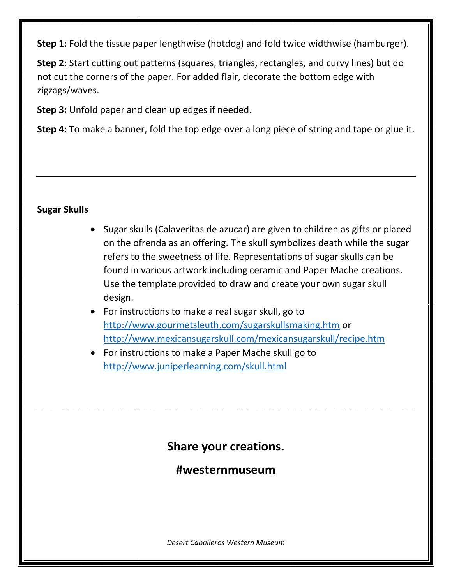**Step 1:** Fold the tissue paper lengthwise (hotdog) and fold twice widthwise (hamburger).

**Step 2:** Start cutting out patterns (squares, triangles, rectangles, and curvy lines) but do not cut the corners of the paper. For added flair, decorate the bottom edge with zigzags/waves.

**Step 3:** Unfold paper and clean up edges if needed.

**Step 4:** To make a banner, fold the top edge over a long piece of string and tape or glue it.

### **Sugar Skulls**

- Sugar skulls (Calaveritas de azucar) are given to children as gifts or placed on the ofrenda as an offering. The skull symbolizes death while the sugar refers to the sweetness of life. Representations of sugar skulls can be found in various artwork including ceramic and Paper Mache creations. Use the template provided to draw and create your own sugar skull design.
- For instructions to make a real sugar skull, go to <http://www.gourmetsleuth.com/sugarskullsmaking.htm> or <http://www.mexicansugarskull.com/mexicansugarskull/recipe.htm>
- For instructions to make a Paper Mache skull go to <http://www.juniperlearning.com/skull.html>

# **Share your creations.**

\_\_\_\_\_\_\_\_\_\_\_\_\_\_\_\_\_\_\_\_\_\_\_\_\_\_\_\_\_\_\_\_\_\_\_\_\_\_\_\_\_\_\_\_\_\_\_\_\_\_\_\_\_\_\_\_\_\_\_\_\_\_\_\_\_\_\_\_\_\_\_\_\_

**#westernmuseum**

*Desert Caballeros Western Museum*